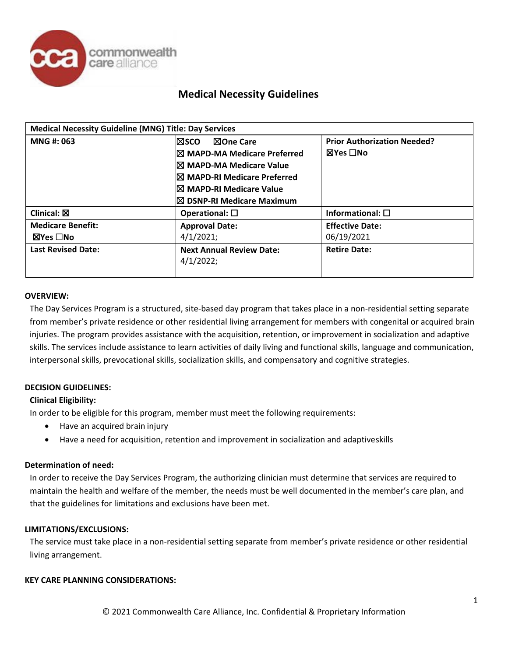

| <b>Medical Necessity Guideline (MNG) Title: Day Services</b> |                                        |                                    |  |  |  |
|--------------------------------------------------------------|----------------------------------------|------------------------------------|--|--|--|
| MNG #: 063                                                   | ⊠One Care<br>l⊠sco                     | <b>Prior Authorization Needed?</b> |  |  |  |
|                                                              | $\boxtimes$ MAPD-MA Medicare Preferred | ⊠Yes □No                           |  |  |  |
|                                                              | I⊠ MAPD-MA Medicare Value              |                                    |  |  |  |
|                                                              | I⊠ MAPD-RI Medicare Preferred          |                                    |  |  |  |
|                                                              | I⊠ MAPD-RI Medicare Value              |                                    |  |  |  |
|                                                              | $\boxtimes$ DSNP-RI Medicare Maximum   |                                    |  |  |  |
| Clinical: $\boxtimes$                                        | Operational: $\square$                 | Informational: $\square$           |  |  |  |
| <b>Medicare Benefit:</b>                                     | <b>Approval Date:</b>                  | <b>Effective Date:</b>             |  |  |  |
| ⊠Yes □No                                                     | 4/1/2021;                              | 06/19/2021                         |  |  |  |
| <b>Last Revised Date:</b>                                    | <b>Next Annual Review Date:</b>        | <b>Retire Date:</b>                |  |  |  |
|                                                              | 4/1/2022;                              |                                    |  |  |  |
|                                                              |                                        |                                    |  |  |  |

### **OVERVIEW:**

The Day Services Program is a structured, site-based day program that takes place in a non-residential setting separate from member's private residence or other residential living arrangement for members with congenital or acquired brain injuries. The program provides assistance with the acquisition, retention, or improvement in socialization and adaptive skills. The services include assistance to learn activities of daily living and functional skills, language and communication, interpersonal skills, prevocational skills, socialization skills, and compensatory and cognitive strategies.

## **DECISION GUIDELINES:**

### **Clinical Eligibility:**

In order to be eligible for this program, member must meet the following requirements:

- Have an acquired brain injury
- Have a need for acquisition, retention and improvement in socialization and adaptiveskills

## **Determination of need:**

In order to receive the Day Services Program, the authorizing clinician must determine that services are required to maintain the health and welfare of the member, the needs must be well documented in the member's care plan, and that the guidelines for limitations and exclusions have been met.

### **LIMITATIONS/EXCLUSIONS:**

The service must take place in a non-residential setting separate from member's private residence or other residential living arrangement.

### **KEY CARE PLANNING CONSIDERATIONS:**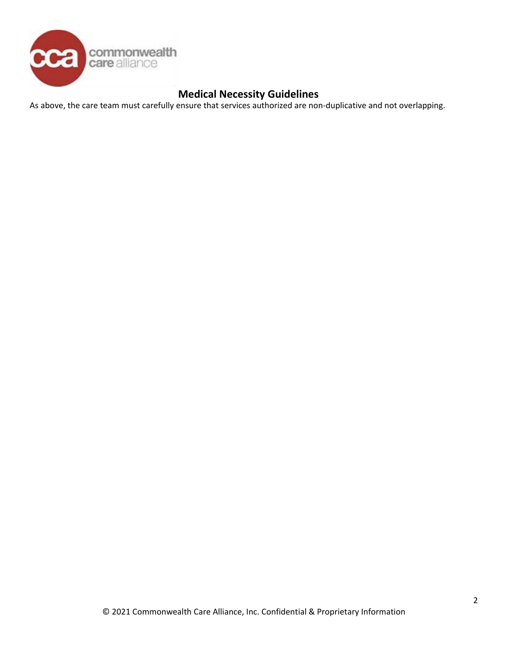

As above, the care team must carefully ensure that services authorized are non-duplicative and not overlapping.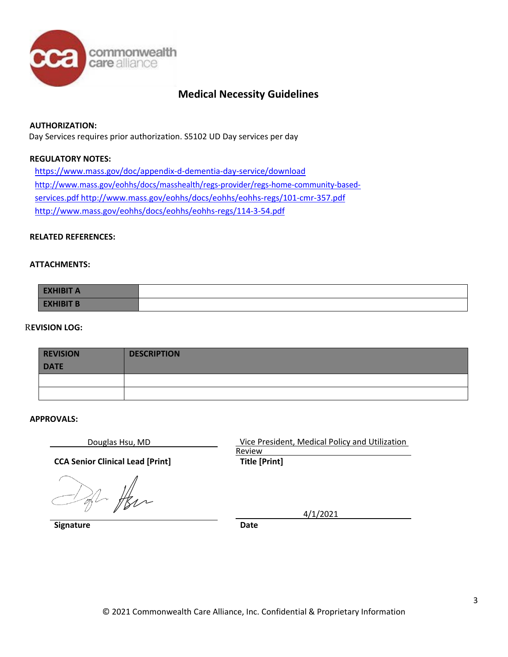

## **AUTHORIZATION:**

Day Services requires prior authorization. S5102 UD Day services per day

## **REGULATORY NOTES:**

<https://www.mass.gov/doc/appendix-d-dementia-day-service/download> [http://www.mass.gov/eohhs/docs/masshealth/regs-provider/regs-home-community-based](http://www.mass.gov/eohhs/docs/masshealth/regs-provider/regs-home-community-based-services.pdf)[services.pdf](http://www.mass.gov/eohhs/docs/masshealth/regs-provider/regs-home-community-based-services.pdf) <http://www.mass.gov/eohhs/docs/eohhs/eohhs-regs/101-cmr-357.pdf> <http://www.mass.gov/eohhs/docs/eohhs/eohhs-regs/114-3-54.pdf>

### **RELATED REFERENCES:**

### **ATTACHMENTS:**

| <b>EXHIBIT A</b> |  |
|------------------|--|
| <b>EXHIBIT B</b> |  |

### R**EVISION LOG:**

| <b>REVISION</b><br><b>DATE</b> | <b>DESCRIPTION</b> |
|--------------------------------|--------------------|
|                                |                    |
|                                |                    |

### **APPROVALS:**

**CCA Senior Clinical Lead [Print] Title [Print]**

2 Her

**Signature Date** 

Douglas Hsu, MD Vice President, Medical Policy and Utilization Review

4/1/2021